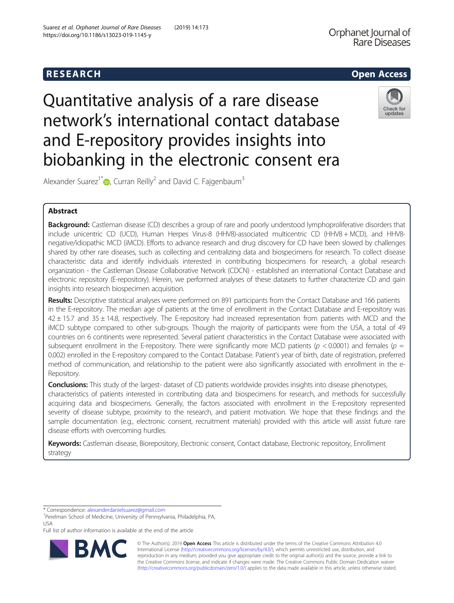

# Quantitative analysis of a rare disease network's international contact database and E-repository provides insights into biobanking in the electronic consent era



Alexander Suarez<sup>1[\\*](http://orcid.org/0000-0002-1088-1652)</sup><sup>1</sup>, Curran Reilly<sup>2</sup> and David C. Fajgenbaum<sup>3</sup>

# Abstract

Background: Castleman disease (CD) describes a group of rare and poorly understood lymphoproliferative disorders that include unicentric CD (UCD), Human Herpes Virus-8 (HHV8)-associated multicentric CD (HHV8 + MCD), and HHV8 negative/idiopathic MCD (iMCD). Efforts to advance research and drug discovery for CD have been slowed by challenges shared by other rare diseases, such as collecting and centralizing data and biospecimens for research. To collect disease characteristic data and identify individuals interested in contributing biospecimens for research, a global research organization - the Castleman Disease Collaborative Network (CDCN) - established an international Contact Database and electronic repository (E-repository). Herein, we performed analyses of these datasets to further characterize CD and gain insights into research biospecimen acquisition.

Results: Descriptive statistical analyses were performed on 891 participants from the Contact Database and 166 patients in the E-repository. The median age of patients at the time of enrollment in the Contact Database and E-repository was  $42 \pm 15.7$  and  $35 \pm 14.8$ , respectively. The E-repository had increased representation from patients with MCD and the iMCD subtype compared to other sub-groups. Though the majority of participants were from the USA, a total of 49 countries on 6 continents were represented. Several patient characteristics in the Contact Database were associated with subsequent enrollment in the E-repository. There were significantly more MCD patients ( $p < 0.0001$ ) and females ( $p =$ 0.002) enrolled in the E-repository compared to the Contact Database. Patient's year of birth, date of registration, preferred method of communication, and relationship to the patient were also significantly associated with enrollment in the e-Repository.

**Conclusions:** This study of the largest- dataset of CD patients worldwide provides insights into disease phenotypes, characteristics of patients interested in contributing data and biospecimens for research, and methods for successfully acquiring data and biospecimens. Generally, the factors associated with enrollment in the E-repository represented severity of disease subtype, proximity to the research, and patient motivation. We hope that these findings and the sample documentation (e.g., electronic consent, recruitment materials) provided with this article will assist future rare disease efforts with overcoming hurdles.

Keywords: Castleman disease, Biorepository, Electronic consent, Contact database, Electronic repository, Enrollment strategy

\* Correspondence: [alexanderdanielsuarez@gmail.com](mailto:alexanderdanielsuarez@gmail.com) <sup>1</sup>

<sup>1</sup>Perelman School of Medicine, University of Pennsylvania, Philadelphia, PA, USA

Full list of author information is available at the end of the article



© The Author(s). 2019 Open Access This article is distributed under the terms of the Creative Commons Attribution 4.0 International License [\(http://creativecommons.org/licenses/by/4.0/](http://creativecommons.org/licenses/by/4.0/)), which permits unrestricted use, distribution, and reproduction in any medium, provided you give appropriate credit to the original author(s) and the source, provide a link to the Creative Commons license, and indicate if changes were made. The Creative Commons Public Domain Dedication waiver [\(http://creativecommons.org/publicdomain/zero/1.0/](http://creativecommons.org/publicdomain/zero/1.0/)) applies to the data made available in this article, unless otherwise stated.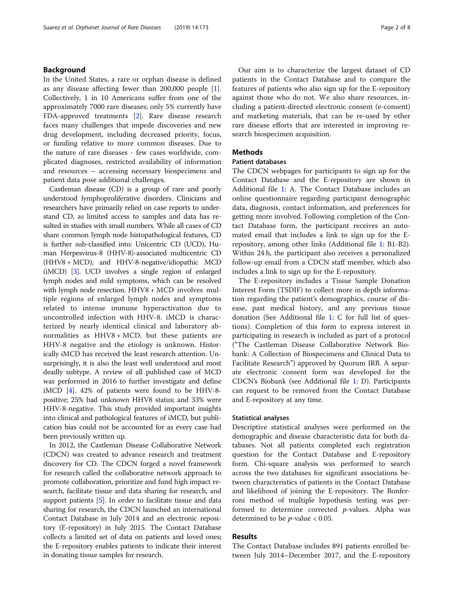# Background

In the United States, a rare or orphan disease is defined as any disease affecting fewer than 200,000 people [\[1](#page-7-0)]. Collectively, 1 in 10 Americans suffer from one of the approximately 7000 rare diseases; only 5% currently have FDA-approved treatments [\[2](#page-7-0)]. Rare disease research faces many challenges that impede discoveries and new drug development, including decreased priority, focus, or funding relative to more common diseases. Due to the nature of rare diseases - few cases worldwide, complicated diagnoses, restricted availability of information and resources – accessing necessary biospecimens and patient data pose additional challenges.

Castleman disease (CD) is a group of rare and poorly understood lymphoproliferative disorders. Clinicians and researchers have primarily relied on case reports to understand CD, as limited access to samples and data has resulted in studies with small numbers. While all cases of CD share common lymph node histopathological features, CD is further sub-classified into: Unicentric CD (UCD), Human Herpesvirus-8 (HHV-8)-associated multicentric CD (HHV8 + MCD), and HHV-8-negative/idiopathic MCD (iMCD) [\[3\]](#page-7-0). UCD involves a single region of enlarged lymph nodes and mild symptoms, which can be resolved with lymph node resection. HHV8 + MCD involves multiple regions of enlarged lymph nodes and symptoms related to intense immune hyperactivation due to uncontrolled infection with HHV-8. iMCD is characterized by nearly identical clinical and laboratory abnormalities as HHV8 + MCD, but these patients are HHV-8 negative and the etiology is unknown. Historically iMCD has received the least research attention. Unsurprisingly, it is also the least well understood and most deadly subtype. A review of all published case of MCD was performed in 2016 to further investigate and define iMCD [\[4\]](#page-7-0). 42% of patients were found to be HHV-8 positive; 25% had unknown HHV8 status; and 33% were HHV-8-negative. This study provided important insights into clinical and pathological features of iMCD, but publication bias could not be accounted for as every case had been previously written up.

In 2012, the Castleman Disease Collaborative Network (CDCN) was created to advance research and treatment discovery for CD. The CDCN forged a novel framework for research called the collaborative network approach to promote collaboration, prioritize and fund high impact research, facilitate tissue and data sharing for research, and support patients [\[5](#page-7-0)]. In order to facilitate tissue and data sharing for research, the CDCN launched an international Contact Database in July 2014 and an electronic repository (E-repository) in July 2015. The Contact Database collects a limited set of data on patients and loved ones; the E-repository enables patients to indicate their interest in donating tissue samples for research.

Our aim is to characterize the largest dataset of CD patients in the Contact Database and to compare the features of patients who also sign up for the E-repository against those who do not. We also share resources, including a patient-directed electronic consent (e-consent) and marketing materials, that can be re-used by other rare disease efforts that are interested in improving research biospecimen acquisition.

# **Methods**

# Patient databases

The CDCN webpages for participants to sign up for the Contact Database and the E-repository are shown in Additional file [1](#page-7-0): A. The Contact Database includes an online questionnaire regarding participant demographic data, diagnosis, contact information, and preferences for getting more involved. Following completion of the Contact Database form, the participant receives an automated email that includes a link to sign up for the Erepository, among other links (Additional file [1](#page-7-0): B1-B2). Within 24 h, the participant also receives a personalized follow-up email from a CDCN staff member, which also includes a link to sign up for the E-repository.

The E-repository includes a Tissue Sample Donation Interest Form (TSDIF) to collect more in depth information regarding the patient's demographics, course of disease, past medical history, and any previous tissue donation (See Additional file [1](#page-7-0): C for full list of questions). Completion of this form to express interest in participating in research is included as part of a protocol ("The Castleman Disease Collaborative Network Biobank: A Collection of Biospecimens and Clinical Data to Facilitate Research") approved by Quorum IRB. A separate electronic consent form was developed for the CDCN's Biobank (see Additional file [1:](#page-7-0) D). Participants can request to be removed from the Contact Database and E-repository at any time.

## Statistical analyses

Descriptive statistical analyses were performed on the demographic and disease characteristic data for both databases. Not all patients completed each registration question for the Contact Database and E-repository form. Chi-square analysis was performed to search across the two databases for significant associations between characteristics of patients in the Contact Database and likelihood of joining the E-repository. The Bonferroni method of multiple hypothesis testing was performed to determine corrected  $p$ -values. Alpha was determined to be  $p$ -value < 0.05.

# Results

The Contact Database includes 891 patients enrolled between July 2014–December 2017, and the E-repository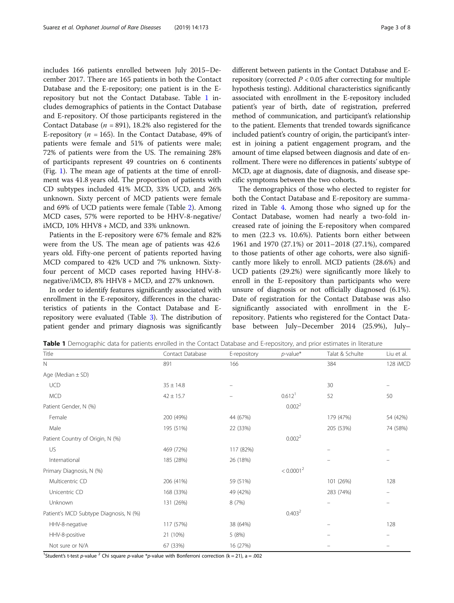includes 166 patients enrolled between July 2015–December 2017. There are 165 patients in both the Contact Database and the E-repository; one patient is in the Erepository but not the Contact Database. Table 1 includes demographics of patients in the Contact Database and E-repository. Of those participants registered in the Contact Database ( $n = 891$ ), 18.2% also registered for the E-repository ( $n = 165$ ). In the Contact Database, 49% of patients were female and 51% of patients were male; 72% of patients were from the US. The remaining 28% of participants represent 49 countries on 6 continents (Fig. [1\)](#page-3-0). The mean age of patients at the time of enrollment was 41.8 years old. The proportion of patients with CD subtypes included 41% MCD, 33% UCD, and 26% unknown. Sixty percent of MCD patients were female and 69% of UCD patients were female (Table [2\)](#page-3-0). Among MCD cases, 57% were reported to be HHV-8-negative/ iMCD, 10% HHV8 + MCD, and 33% unknown.

Patients in the E-repository were 67% female and 82% were from the US. The mean age of patients was 42.6 years old. Fifty-one percent of patients reported having MCD compared to 42% UCD and 7% unknown. Sixtyfour percent of MCD cases reported having HHV-8 negative/iMCD, 8% HHV8 + MCD, and 27% unknown.

In order to identify features significantly associated with enrollment in the E-repository, differences in the characteristics of patients in the Contact Database and Erepository were evaluated (Table [3](#page-4-0)). The distribution of patient gender and primary diagnosis was significantly

different between patients in the Contact Database and Erepository (corrected  $P < 0.05$  after correcting for multiple hypothesis testing). Additional characteristics significantly associated with enrollment in the E-repository included patient's year of birth, date of registration, preferred method of communication, and participant's relationship to the patient. Elements that trended towards significance included patient's country of origin, the participant's interest in joining a patient engagement program, and the amount of time elapsed between diagnosis and date of enrollment. There were no differences in patients' subtype of MCD, age at diagnosis, date of diagnosis, and disease specific symptoms between the two cohorts.

The demographics of those who elected to register for both the Contact Database and E-repository are summarized in Table [4.](#page-5-0) Among those who signed up for the Contact Database, women had nearly a two-fold increased rate of joining the E-repository when compared to men (22.3 vs. 10.6%). Patients born either between 1961 and 1970 (27.1%) or 2011–2018 (27.1%), compared to those patients of other age cohorts, were also significantly more likely to enroll. MCD patients (28.6%) and UCD patients (29.2%) were significantly more likely to enroll in the E-repository than participants who were unsure of diagnosis or not officially diagnosed (6.1%). Date of registration for the Contact Database was also significantly associated with enrollment in the Erepository. Patients who registered for the Contact Database between July–December 2014 (25.9%), July–

| Title                                  | Contact Database | E-repository | $p$ -value*           | Talat & Schulte | Liu et al. |
|----------------------------------------|------------------|--------------|-----------------------|-----------------|------------|
| $\mathsf{N}$                           | 891              | 166          |                       | 384             | 128 iMCD   |
| Age (Median $\pm$ SD)                  |                  |              |                       |                 |            |
| <b>UCD</b>                             | $35 \pm 14.8$    |              |                       | 30              |            |
| <b>MCD</b>                             | $42 \pm 15.7$    |              | $0.612$ <sup>1</sup>  | 52              | 50         |
| Patient Gender, N (%)                  |                  |              | 0.002 <sup>2</sup>    |                 |            |
| Female                                 | 200 (49%)        | 44 (67%)     |                       | 179 (47%)       | 54 (42%)   |
| Male                                   | 195 (51%)        | 22 (33%)     |                       | 205 (53%)       | 74 (58%)   |
| Patient Country of Origin, N (%)       |                  |              | 0.002 <sup>2</sup>    |                 |            |
| US                                     | 469 (72%)        | 117 (82%)    |                       |                 |            |
| International                          | 185 (28%)        | 26 (18%)     |                       |                 |            |
| Primary Diagnosis, N (%)               |                  |              | < 0.0001 <sup>2</sup> |                 |            |
| Multicentric CD                        | 206 (41%)        | 59 (51%)     |                       | 101 (26%)       | 128        |
| Unicentric CD                          | 168 (33%)        | 49 (42%)     |                       | 283 (74%)       |            |
| Unknown                                | 131 (26%)        | 8 (7%)       |                       |                 |            |
| Patient's MCD Subtype Diagnosis, N (%) |                  |              | 0.403 <sup>2</sup>    |                 |            |
| HHV-8-negative                         | 117 (57%)        | 38 (64%)     |                       |                 | 128        |
| HHV-8-positive                         | 21 (10%)         | 5 (8%)       |                       |                 |            |
| Not sure or N/A                        | 67 (33%)         | 16 (27%)     |                       |                 |            |

Table 1 Demographic data for patients enrolled in the Contact Database and E-repository, and prior estimates in literature

<sup>1</sup>Student's t-test p-value <sup>2</sup> Chi square p-value \*p-value with Bonferroni correction (k = 21), a = .002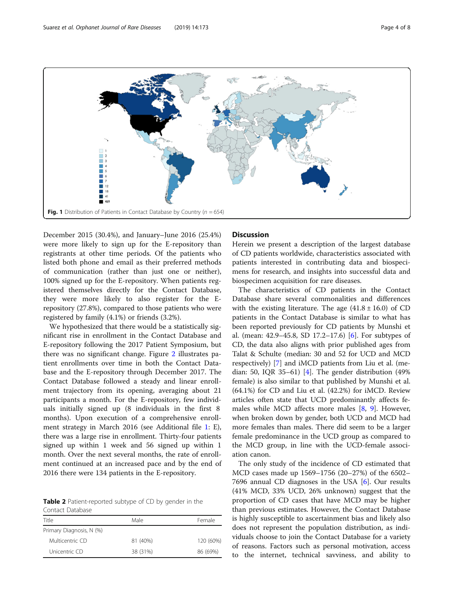<span id="page-3-0"></span>

December 2015 (30.4%), and January–June 2016 (25.4%) were more likely to sign up for the E-repository than registrants at other time periods. Of the patients who listed both phone and email as their preferred methods of communication (rather than just one or neither), 100% signed up for the E-repository. When patients registered themselves directly for the Contact Database, they were more likely to also register for the Erepository (27.8%), compared to those patients who were registered by family (4.1%) or friends (3.2%).

We hypothesized that there would be a statistically significant rise in enrollment in the Contact Database and E-repository following the 2017 Patient Symposium, but there was no significant change. Figure [2](#page-6-0) illustrates patient enrollments over time in both the Contact Database and the E-repository through December 2017. The Contact Database followed a steady and linear enrollment trajectory from its opening, averaging about 21 participants a month. For the E-repository, few individuals initially signed up (8 individuals in the first 8 months). Upon execution of a comprehensive enrollment strategy in March 2016 (see Additional file [1](#page-7-0): E), there was a large rise in enrollment. Thirty-four patients signed up within 1 week and 56 signed up within 1 month. Over the next several months, the rate of enrollment continued at an increased pace and by the end of 2016 there were 134 patients in the E-repository.

Table 2 Patient-reported subtype of CD by gender in the Contact Database

| Title                    | Male     | Female    |
|--------------------------|----------|-----------|
| Primary Diagnosis, N (%) |          |           |
| Multicentric CD          | 81 (40%) | 120 (60%) |
| Unicentric CD            | 38 (31%) | 86 (69%)  |

## **Discussion**

Herein we present a description of the largest database of CD patients worldwide, characteristics associated with patients interested in contributing data and biospecimens for research, and insights into successful data and biospecimen acquisition for rare diseases.

The characteristics of CD patients in the Contact Database share several commonalities and differences with the existing literature. The age  $(41.8 \pm 16.0)$  of CD patients in the Contact Database is similar to what has been reported previously for CD patients by Munshi et al. (mean: 42.9–45.8, SD 17.2–17.6) [\[6](#page-7-0)]. For subtypes of CD, the data also aligns with prior published ages from Talat & Schulte (median: 30 and 52 for UCD and MCD respectively) [[7\]](#page-7-0) and iMCD patients from Liu et al. (me-dian: 50, IQR 35–61) [\[4\]](#page-7-0). The gender distribution  $(49\%$ female) is also similar to that published by Munshi et al. (64.1%) for CD and Liu et al. (42.2%) for iMCD. Review articles often state that UCD predominantly affects females while MCD affects more males  $[8, 9]$  $[8, 9]$  $[8, 9]$ . However, when broken down by gender, both UCD and MCD had more females than males. There did seem to be a larger female predominance in the UCD group as compared to the MCD group, in line with the UCD-female association canon.

The only study of the incidence of CD estimated that MCD cases made up 1569–1756 (20–27%) of the 6502– 7696 annual CD diagnoses in the USA [[6\]](#page-7-0). Our results (41% MCD, 33% UCD, 26% unknown) suggest that the proportion of CD cases that have MCD may be higher than previous estimates. However, the Contact Database is highly susceptible to ascertainment bias and likely also does not represent the population distribution, as individuals choose to join the Contact Database for a variety of reasons. Factors such as personal motivation, access to the internet, technical savviness, and ability to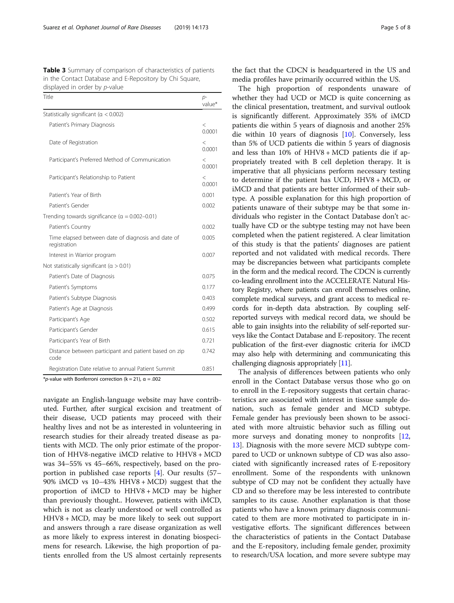<span id="page-4-0"></span>Table 3 Summary of comparison of characteristics of patients in the Contact Database and E-Repository by Chi Square, displayed in order by p-value

| Title                                                              | $p-$<br>value*    |
|--------------------------------------------------------------------|-------------------|
| Statistically significant ( $\alpha$ < 0.002)                      |                   |
| Patient's Primary Diagnosis                                        | $\,<\,$<br>0.0001 |
| Date of Registration                                               | $\,<\,$<br>0.0001 |
| Participant's Preferred Method of Communication                    | $\,<\,$<br>0.0001 |
| Participant's Relationship to Patient                              | $\,<\,$<br>0.0001 |
| Patient's Year of Birth                                            | 0.001             |
| Patient's Gender                                                   | 0.002             |
| Trending towards significance ( $\alpha = 0.002 - 0.01$ )          |                   |
| Patient's Country                                                  | 0.002             |
| Time elapsed between date of diagnosis and date of<br>registration | 0.005             |
| Interest in Warrior program                                        | 0.007             |
| Not statistically significant ( $\alpha > 0.01$ )                  |                   |
| Patient's Date of Diagnosis                                        | 0.075             |
| Patient's Symptoms                                                 | 0.177             |
| Patient's Subtype Diagnosis                                        | 0.403             |
| Patient's Age at Diagnosis                                         | 0.499             |
| Participant's Age                                                  | 0.502             |
| Participant's Gender                                               | 0.615             |
| Participant's Year of Birth                                        | 0.721             |
| Distance between participant and patient based on zip<br>code      | 0.742             |
| Registration Date relative to annual Patient Summit                | 0.851             |

\*p-value with Bonferroni correction ( $k = 21$ ),  $\alpha = .002$ 

navigate an English-language website may have contributed. Further, after surgical excision and treatment of their disease, UCD patients may proceed with their healthy lives and not be as interested in volunteering in research studies for their already treated disease as patients with MCD. The only prior estimate of the proportion of HHV8-negative iMCD relative to HHV8 + MCD was 34–55% vs 45–66%, respectively, based on the proportion in published case reports [\[4](#page-7-0)]. Our results (57– 90% iMCD vs 10–43% HHV8 + MCD) suggest that the proportion of iMCD to HHV8 + MCD may be higher than previously thought.. However, patients with iMCD, which is not as clearly understood or well controlled as HHV8 + MCD, may be more likely to seek out support and answers through a rare disease organization as well as more likely to express interest in donating biospecimens for research. Likewise, the high proportion of patients enrolled from the US almost certainly represents

the fact that the CDCN is headquartered in the US and media profiles have primarily occurred within the US.

The high proportion of respondents unaware of whether they had UCD or MCD is quite concerning as the clinical presentation, treatment, and survival outlook is significantly different. Approximately 35% of iMCD patients die within 5 years of diagnosis and another 25% die within 10 years of diagnosis [[10\]](#page-7-0). Conversely, less than 5% of UCD patients die within 5 years of diagnosis and less than 10% of HHV8 + MCD patients die if appropriately treated with B cell depletion therapy. It is imperative that all physicians perform necessary testing to determine if the patient has UCD, HHV8 + MCD, or iMCD and that patients are better informed of their subtype. A possible explanation for this high proportion of patients unaware of their subtype may be that some individuals who register in the Contact Database don't actually have CD or the subtype testing may not have been completed when the patient registered. A clear limitation of this study is that the patients' diagnoses are patient reported and not validated with medical records. There may be discrepancies between what participants complete in the form and the medical record. The CDCN is currently co-leading enrollment into the ACCELERATE Natural History Registry, where patients can enroll themselves online, complete medical surveys, and grant access to medical records for in-depth data abstraction. By coupling selfreported surveys with medical record data, we should be able to gain insights into the reliability of self-reported surveys like the Contact Database and E-repository. The recent publication of the first-ever diagnostic criteria for iMCD may also help with determining and communicating this challenging diagnosis appropriately [\[11\]](#page-7-0).

The analysis of differences between patients who only enroll in the Contact Database versus those who go on to enroll in the E-repository suggests that certain characteristics are associated with interest in tissue sample donation, such as female gender and MCD subtype. Female gender has previously been shown to be associated with more altruistic behavior such as filling out more surveys and donating money to nonprofits [[12](#page-7-0), [13\]](#page-7-0). Diagnosis with the more severe MCD subtype compared to UCD or unknown subtype of CD was also associated with significantly increased rates of E-repository enrollment. Some of the respondents with unknown subtype of CD may not be confident they actually have CD and so therefore may be less interested to contribute samples to its cause. Another explanation is that those patients who have a known primary diagnosis communicated to them are more motivated to participate in investigative efforts. The significant differences between the characteristics of patients in the Contact Database and the E-repository, including female gender, proximity to research/USA location, and more severe subtype may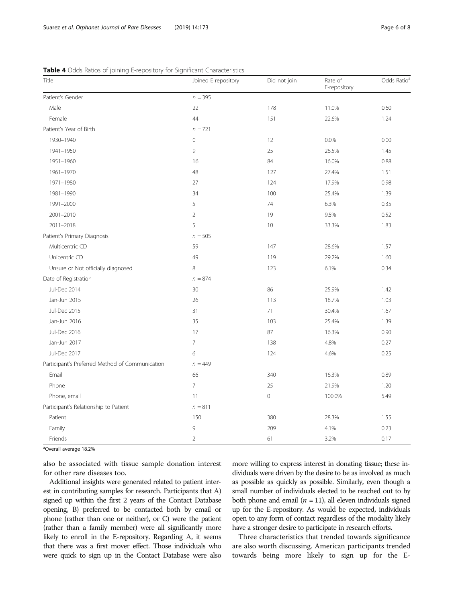<span id="page-5-0"></span>

| Table 4 Odds Ratios of joining E-repository for Significant Characteristics |  |  |
|-----------------------------------------------------------------------------|--|--|
|                                                                             |  |  |

| Title                                           | Joined E repository | Did not join        | Rate of<br>E-repository | Odds Ratio <sup>a</sup> |
|-------------------------------------------------|---------------------|---------------------|-------------------------|-------------------------|
| Patient's Gender                                | $n = 395$           |                     |                         |                         |
| Male                                            | 22                  | 178                 | 11.0%                   | 0.60                    |
| Female                                          | 44                  | 151                 | 22.6%                   | 1.24                    |
| Patient's Year of Birth                         | $n = 721$           |                     |                         |                         |
| 1930-1940                                       | $\mathbf 0$         | 12                  | 0.0%                    | 0.00                    |
| 1941-1950                                       | 9                   | 25                  | 26.5%                   | 1.45                    |
| 1951-1960                                       | 16                  | 84                  | 16.0%                   | 0.88                    |
| 1961-1970                                       | 48                  | 127                 | 27.4%                   | 1.51                    |
| 1971-1980                                       | 27                  | 124                 | 17.9%                   | 0.98                    |
| 1981-1990                                       | 34                  | 100                 | 25.4%                   | 1.39                    |
| 1991-2000                                       | 5                   | 74                  | 6.3%                    | 0.35                    |
| 2001-2010                                       | $\overline{2}$      | 19                  | 9.5%                    | 0.52                    |
| 2011-2018                                       | 5                   | 10                  | 33.3%                   | 1.83                    |
| Patient's Primary Diagnosis                     | $n = 505$           |                     |                         |                         |
| Multicentric CD                                 | 59                  | 147                 | 28.6%                   | 1.57                    |
| Unicentric CD                                   | 49                  | 119                 | 29.2%                   | 1.60                    |
| Unsure or Not officially diagnosed              | 8                   | 123                 | 6.1%                    | 0.34                    |
| Date of Registration                            | $n = 874$           |                     |                         |                         |
| Jul-Dec 2014                                    | 30                  | 86                  | 25.9%                   | 1.42                    |
| Jan-Jun 2015                                    | 26                  | 113                 | 18.7%                   | 1.03                    |
| Jul-Dec 2015                                    | 31                  | 71                  | 30.4%                   | 1.67                    |
| Jan-Jun 2016                                    | 35                  | 103                 | 25.4%                   | 1.39                    |
| Jul-Dec 2016                                    | 17                  | 87                  | 16.3%                   | 0.90                    |
| Jan-Jun 2017                                    | $\overline{7}$      | 138                 | 4.8%                    | 0.27                    |
| Jul-Dec 2017                                    | 6                   | 124                 | 4.6%                    | 0.25                    |
| Participant's Preferred Method of Communication | $n = 449$           |                     |                         |                         |
| Email                                           | 66                  | 340                 | 16.3%                   | 0.89                    |
| Phone                                           | $\overline{7}$      | 25                  | 21.9%                   | 1.20                    |
| Phone, email                                    | 11                  | $\mathsf{O}\xspace$ | 100.0%                  | 5.49                    |
| Participant's Relationship to Patient           | $n = 811$           |                     |                         |                         |
| Patient                                         | 150                 | 380                 | 28.3%                   | 1.55                    |
| Family                                          | 9                   | 209                 | 4.1%                    | 0.23                    |
| Friends                                         | $\overline{2}$      | 61                  | 3.2%                    | 0.17                    |

<sup>a</sup>Overall average 18.2%

also be associated with tissue sample donation interest for other rare diseases too.

Additional insights were generated related to patient interest in contributing samples for research. Participants that A) signed up within the first 2 years of the Contact Database opening, B) preferred to be contacted both by email or phone (rather than one or neither), or C) were the patient (rather than a family member) were all significantly more likely to enroll in the E-repository. Regarding A, it seems that there was a first mover effect. Those individuals who were quick to sign up in the Contact Database were also

more willing to express interest in donating tissue; these individuals were driven by the desire to be as involved as much as possible as quickly as possible. Similarly, even though a small number of individuals elected to be reached out to by both phone and email  $(n = 11)$ , all eleven individuals signed up for the E-repository. As would be expected, individuals open to any form of contact regardless of the modality likely have a stronger desire to participate in research efforts.

Three characteristics that trended towards significance are also worth discussing. American participants trended towards being more likely to sign up for the E-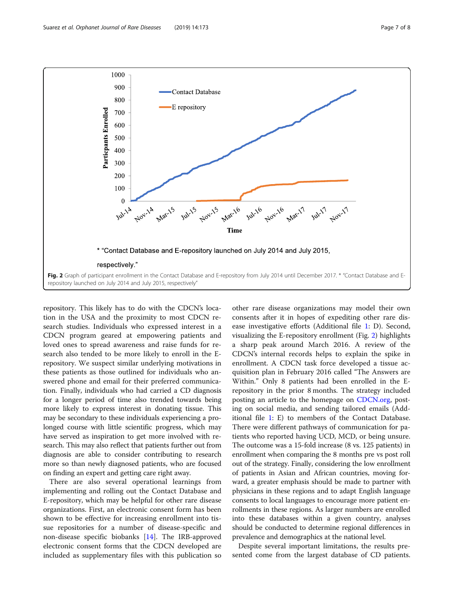<span id="page-6-0"></span>

repository. This likely has to do with the CDCN's location in the USA and the proximity to most CDCN research studies. Individuals who expressed interest in a CDCN program geared at empowering patients and loved ones to spread awareness and raise funds for research also tended to be more likely to enroll in the Erepository. We suspect similar underlying motivations in these patients as those outlined for individuals who answered phone and email for their preferred communication. Finally, individuals who had carried a CD diagnosis for a longer period of time also trended towards being more likely to express interest in donating tissue. This may be secondary to these individuals experiencing a prolonged course with little scientific progress, which may have served as inspiration to get more involved with research. This may also reflect that patients further out from diagnosis are able to consider contributing to research more so than newly diagnosed patients, who are focused on finding an expert and getting care right away.

There are also several operational learnings from implementing and rolling out the Contact Database and E-repository, which may be helpful for other rare disease organizations. First, an electronic consent form has been shown to be effective for increasing enrollment into tissue repositories for a number of disease-specific and non-disease specific biobanks [[14](#page-7-0)]. The IRB-approved electronic consent forms that the CDCN developed are included as supplementary files with this publication so

other rare disease organizations may model their own consents after it in hopes of expediting other rare disease investigative efforts (Additional file [1](#page-7-0): D). Second, visualizing the E-repository enrollment (Fig. 2) highlights a sharp peak around March 2016. A review of the CDCN's internal records helps to explain the spike in enrollment. A CDCN task force developed a tissue acquisition plan in February 2016 called "The Answers are Within." Only 8 patients had been enrolled in the Erepository in the prior 8 months. The strategy included posting an article to the homepage on [CDCN.org](http://cdcn.org), posting on social media, and sending tailored emails (Additional file [1](#page-7-0): E) to members of the Contact Database. There were different pathways of communication for patients who reported having UCD, MCD, or being unsure. The outcome was a 15-fold increase (8 vs. 125 patients) in enrollment when comparing the 8 months pre vs post roll out of the strategy. Finally, considering the low enrollment of patients in Asian and African countries, moving forward, a greater emphasis should be made to partner with physicians in these regions and to adapt English language consents to local languages to encourage more patient enrollments in these regions. As larger numbers are enrolled into these databases within a given country, analyses should be conducted to determine regional differences in prevalence and demographics at the national level.

Despite several important limitations, the results presented come from the largest database of CD patients.